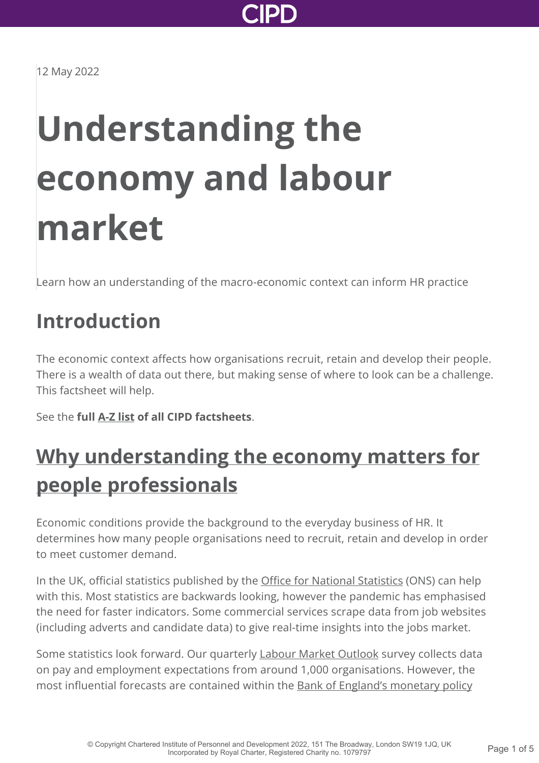

12 May 2022

# **Understanding the economy and labour market**

Learn how an understanding of the macro-economic context can inform HR practice

### **Introduction**

The economic context affects how organisations recruit, retain and develop their people. There is a wealth of data out there, but making sense of where to look can be a challenge. This factsheet will help.

See the **full [A-Z list](http://www.cipd.co.uk/knowledge/practical-guidance-a-z/factsheets/) of all CIPD factsheets**.

## **[Why understanding the economy matters for](http://www.cipd.co.uk/knowledge/work/trends/economy-labour-market-factsheet?pdf=true#) people professionals**

Economic conditions provide the background to the everyday business of HR. It determines how many people organisations need to recruit, retain and develop in order to meet customer demand.

In the UK, official statistics published by the [Office for National Statistics](https://www.ons.gov.uk/employmentandlabourmarket) (ONS) can help with this. Most statistics are backwards looking, however the pandemic has emphasised the need for faster indicators. Some commercial services scrape data from job websites (including adverts and candidate data) to give real-time insights into the jobs market.

Some statistics look forward. Our quarterly [Labour Market Outlook](http://www.cipd.co.uk/knowledge/work/trends/labour-market-outlook/) survey collects data on pay and employment expectations from around 1,000 organisations. However, the [most influential forecasts are contained within the Bank of England's monetary policy](https://www.bankofengland.co.uk/monetary-policy-report/monetary-policy-report)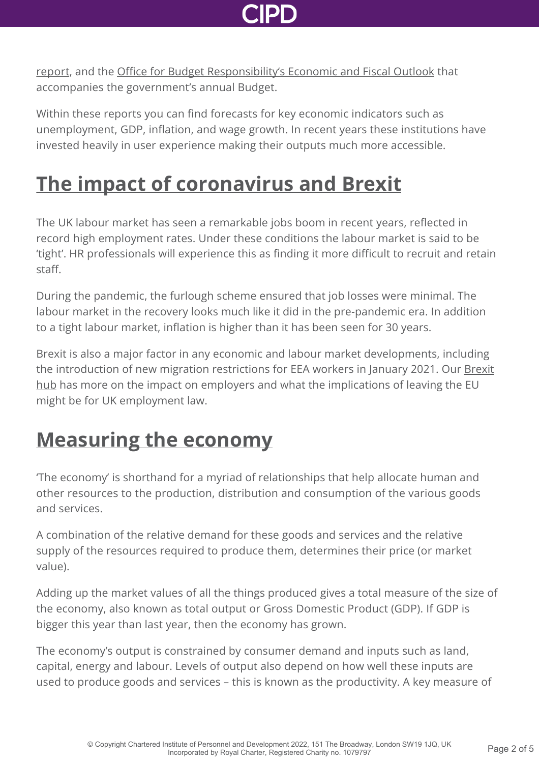

[report, and the Office for Budget Responsibility's Economic and Fiscal Outlook that](https://www.bankofengland.co.uk/monetary-policy-report/monetary-policy-report) accompanies the government's annual Budget.

Within these reports you can find forecasts for key economic indicators such as unemployment, GDP, inflation, and wage growth. In recent years these institutions have invested heavily in user experience making their outputs much more accessible.

### **[The impact of coronavirus and Brexit](http://www.cipd.co.uk/knowledge/work/trends/economy-labour-market-factsheet?pdf=true#)**

The UK labour market has seen a remarkable jobs boom in recent years, reflected in record high employment rates. Under these conditions the labour market is said to be 'tight'. HR professionals will experience this as finding it more difficult to recruit and retain staff.

During the pandemic, the furlough scheme ensured that job losses were minimal. The labour market in the recovery looks much like it did in the pre-pandemic era. In addition to a tight labour market, inflation is higher than it has been seen for 30 years.

Brexit is also a major factor in any economic and labour market developments, including [the introduction of new migration restrictions for EEA workers in January 2021. Our Brexit](http://www.cipd.co.uk/knowledge/brexit-hub/) hub has more on the impact on employers and what the implications of leaving the EU might be for UK employment law.

### **[Measuring the economy](http://www.cipd.co.uk/knowledge/work/trends/economy-labour-market-factsheet?pdf=true#)**

'The economy' is shorthand for a myriad of relationships that help allocate human and other resources to the production, distribution and consumption of the various goods and services.

A combination of the relative demand for these goods and services and the relative supply of the resources required to produce them, determines their price (or market value).

Adding up the market values of all the things produced gives a total measure of the size of the economy, also known as total output or Gross Domestic Product (GDP). If GDP is bigger this year than last year, then the economy has grown.

The economy's output is constrained by consumer demand and inputs such as land, capital, energy and labour. Levels of output also depend on how well these inputs are used to produce goods and services – this is known as the productivity. A key measure of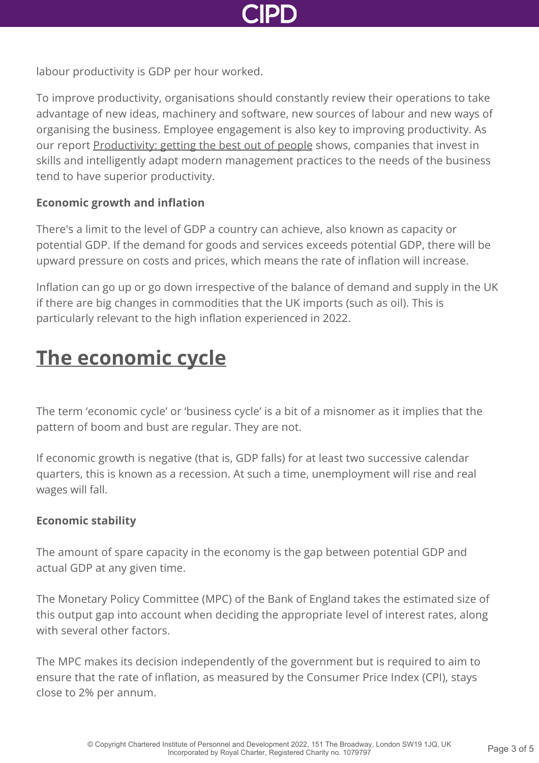

labour productivity is GDP per hour worked.

To improve productivity, organisations should constantly review their operations to take advantage of new ideas, machinery and software, new sources of labour and new ways of organising the business. Employee engagement is also key to improving productivity. As our report [Productivity: getting the best out of people](http://www.cipd.co.uk/knowledge/work/productivity/motivating-people-report/) shows, companies that invest in skills and intelligently adapt modern management practices to the needs of the business tend to have superior productivity.

#### **Economic growth and inflation**

There's a limit to the level of GDP a country can achieve, also known as capacity or potential GDP. If the demand for goods and services exceeds potential GDP, there will be upward pressure on costs and prices, which means the rate of inflation will increase.

Inflation can go up or go down irrespective of the balance of demand and supply in the UK if there are big changes in commodities that the UK imports (such as oil). This is particularly relevant to the high inflation experienced in 2022.

### **[The economic cycle](http://www.cipd.co.uk/knowledge/work/trends/economy-labour-market-factsheet?pdf=true#)**

The term 'economic cycle' or 'business cycle' is a bit of a misnomer as it implies that the pattern of boom and bust are regular. They are not.

If economic growth is negative (that is, GDP falls) for at least two successive calendar quarters, this is known as a recession. At such a time, unemployment will rise and real wages will fall.

#### **Economic stability**

The amount of spare capacity in the economy is the gap between potential GDP and actual GDP at any given time.

The Monetary Policy Committee (MPC) of the Bank of England takes the estimated size of this output gap into account when deciding the appropriate level of interest rates, along with several other factors.

The MPC makes its decision independently of the government but is required to aim to ensure that the rate of inflation, as measured by the Consumer Price Index (CPI), stays close to 2% per annum.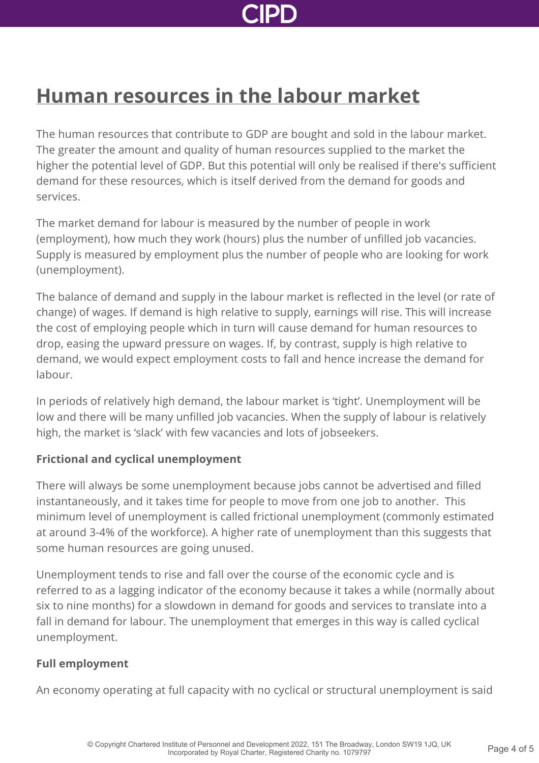### **[Human resources in the labour market](http://www.cipd.co.uk/knowledge/work/trends/economy-labour-market-factsheet?pdf=true#)**

The human resources that contribute to GDP are bought and sold in the labour market. The greater the amount and quality of human resources supplied to the market the higher the potential level of GDP. But this potential will only be realised if there's sufficient demand for these resources, which is itself derived from the demand for goods and services.

The market demand for labour is measured by the number of people in work (employment), how much they work (hours) plus the number of unfilled job vacancies. Supply is measured by employment plus the number of people who are looking for work (unemployment).

The balance of demand and supply in the labour market is reflected in the level (or rate of change) of wages. If demand is high relative to supply, earnings will rise. This will increase the cost of employing people which in turn will cause demand for human resources to drop, easing the upward pressure on wages. If, by contrast, supply is high relative to demand, we would expect employment costs to fall and hence increase the demand for labour.

In periods of relatively high demand, the labour market is 'tight'. Unemployment will be low and there will be many unfilled job vacancies. When the supply of labour is relatively high, the market is 'slack' with few vacancies and lots of jobseekers.

### **Frictional and cyclical unemployment**

There will always be some unemployment because jobs cannot be advertised and filled instantaneously, and it takes time for people to move from one job to another. This minimum level of unemployment is called frictional unemployment (commonly estimated at around 3-4% of the workforce). A higher rate of unemployment than this suggests that some human resources are going unused.

Unemployment tends to rise and fall over the course of the economic cycle and is referred to as a lagging indicator of the economy because it takes a while (normally about six to nine months) for a slowdown in demand for goods and services to translate into a fall in demand for labour. The unemployment that emerges in this way is called cyclical unemployment.

### **Full employment**

An economy operating at full capacity with no cyclical or structural unemployment is said